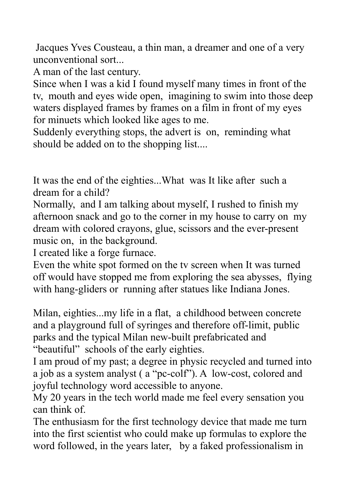Jacques Yves Cousteau, a thin man, a dreamer and one of a very unconventional sort...

A man of the last century.

Since when I was a kid I found myself many times in front of the tv, mouth and eyes wide open, imagining to swim into those deep waters displayed frames by frames on a film in front of my eyes for minuets which looked like ages to me.

Suddenly everything stops, the advert is on, reminding what should be added on to the shopping list....

It was the end of the eighties...What was It like after such a dream for a child?

Normally, and I am talking about myself, I rushed to finish my afternoon snack and go to the corner in my house to carry on my dream with colored crayons, glue, scissors and the ever-present music on, in the background.

I created like a forge furnace.

Even the white spot formed on the tv screen when It was turned off would have stopped me from exploring the sea abysses, flying with hang-gliders or running after statues like Indiana Jones.

Milan, eighties...my life in a flat, a childhood between concrete and a playground full of syringes and therefore off-limit, public parks and the typical Milan new-built prefabricated and "beautiful" schools of the early eighties.

I am proud of my past; a degree in physic recycled and turned into a job as a system analyst ( a "pc-colf"). A low-cost, colored and joyful technology word accessible to anyone.

My 20 years in the tech world made me feel every sensation you can think of.

The enthusiasm for the first technology device that made me turn into the first scientist who could make up formulas to explore the word followed, in the years later, by a faked professionalism in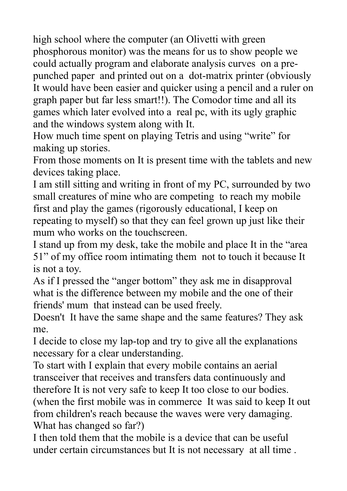high school where the computer (an Olivetti with green phosphorous monitor) was the means for us to show people we could actually program and elaborate analysis curves on a prepunched paper and printed out on a dot-matrix printer (obviously It would have been easier and quicker using a pencil and a ruler on graph paper but far less smart!!). The Comodor time and all its games which later evolved into a real pc, with its ugly graphic and the windows system along with It.

How much time spent on playing Tetris and using "write" for making up stories.

From those moments on It is present time with the tablets and new devices taking place.

I am still sitting and writing in front of my PC, surrounded by two small creatures of mine who are competing to reach my mobile first and play the games (rigorously educational, I keep on repeating to myself) so that they can feel grown up just like their mum who works on the touchscreen.

I stand up from my desk, take the mobile and place It in the "area 51" of my office room intimating them not to touch it because It is not a toy.

As if I pressed the "anger bottom" they ask me in disapproval what is the difference between my mobile and the one of their friends' mum that instead can be used freely.

Doesn't It have the same shape and the same features? They ask me.

I decide to close my lap-top and try to give all the explanations necessary for a clear understanding.

To start with I explain that every mobile contains an aerial transceiver that receives and transfers data continuously and therefore It is not very safe to keep It too close to our bodies. (when the first mobile was in commerce It was said to keep It out from children's reach because the waves were very damaging.

What has changed so far?)

I then told them that the mobile is a device that can be useful under certain circumstances but It is not necessary at all time .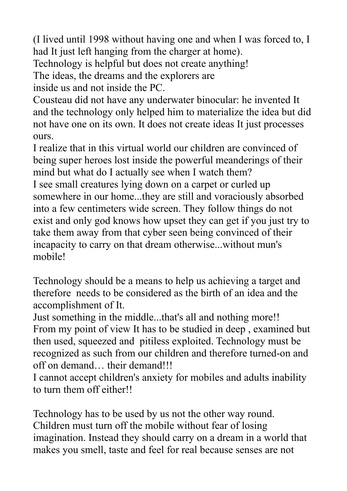(I lived until 1998 without having one and when I was forced to, I had It just left hanging from the charger at home).

Technology is helpful but does not create anything!

The ideas, the dreams and the explorers are

inside us and not inside the PC.

Cousteau did not have any underwater binocular: he invented It and the technology only helped him to materialize the idea but did not have one on its own. It does not create ideas It just processes ours.

I realize that in this virtual world our children are convinced of being super heroes lost inside the powerful meanderings of their mind but what do I actually see when I watch them?

I see small creatures lying down on a carpet or curled up somewhere in our home...they are still and voraciously absorbed into a few centimeters wide screen. They follow things do not exist and only god knows how upset they can get if you just try to take them away from that cyber seen being convinced of their incapacity to carry on that dream otherwise...without mun's mobile!

Technology should be a means to help us achieving a target and therefore needs to be considered as the birth of an idea and the accomplishment of It.

Just something in the middle...that's all and nothing more!! From my point of view It has to be studied in deep , examined but then used, squeezed and pitiless exploited. Technology must be recognized as such from our children and therefore turned-on and off on demand… their demand!!!

I cannot accept children's anxiety for mobiles and adults inability to turn them off either!!

Technology has to be used by us not the other way round. Children must turn off the mobile without fear of losing imagination. Instead they should carry on a dream in a world that makes you smell, taste and feel for real because senses are not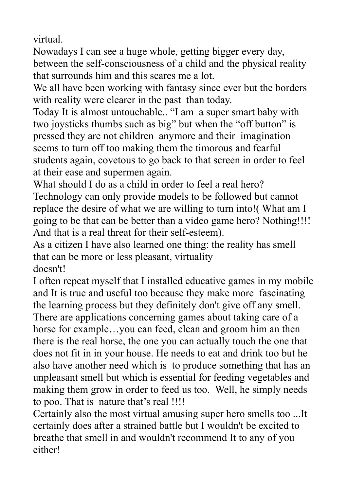virtual.

Nowadays I can see a huge whole, getting bigger every day, between the self-consciousness of a child and the physical reality that surrounds him and this scares me a lot.

We all have been working with fantasy since ever but the borders with reality were clearer in the past than today.

Today It is almost untouchable.. "I am a super smart baby with two joysticks thumbs such as big" but when the "off button" is pressed they are not children anymore and their imagination seems to turn off too making them the timorous and fearful students again, covetous to go back to that screen in order to feel at their ease and supermen again.

What should I do as a child in order to feel a real hero?

Technology can only provide models to be followed but cannot replace the desire of what we are willing to turn into!( What am I going to be that can be better than a video game hero? Nothing!!!! And that is a real threat for their self-esteem).

As a citizen I have also learned one thing: the reality has smell that can be more or less pleasant, virtuality doesn't!

I often repeat myself that I installed educative games in my mobile and It is true and useful too because they make more fascinating the learning process but they definitely don't give off any smell. There are applications concerning games about taking care of a horse for example…you can feed, clean and groom him an then there is the real horse, the one you can actually touch the one that does not fit in in your house. He needs to eat and drink too but he also have another need which is to produce something that has an unpleasant smell but which is essential for feeding vegetables and making them grow in order to feed us too. Well, he simply needs to poo. That is nature that's real !!!!

Certainly also the most virtual amusing super hero smells too ...It certainly does after a strained battle but I wouldn't be excited to breathe that smell in and wouldn't recommend It to any of you either!